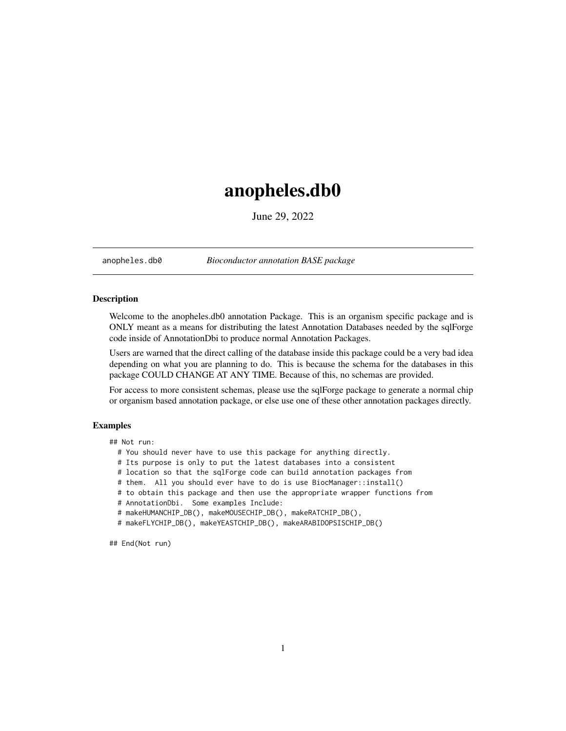## <span id="page-0-0"></span>anopheles.db0

June 29, 2022

anopheles.db0 *Bioconductor annotation BASE package*

## Description

Welcome to the anopheles.db0 annotation Package. This is an organism specific package and is ONLY meant as a means for distributing the latest Annotation Databases needed by the sqlForge code inside of AnnotationDbi to produce normal Annotation Packages.

Users are warned that the direct calling of the database inside this package could be a very bad idea depending on what you are planning to do. This is because the schema for the databases in this package COULD CHANGE AT ANY TIME. Because of this, no schemas are provided.

For access to more consistent schemas, please use the sqlForge package to generate a normal chip or organism based annotation package, or else use one of these other annotation packages directly.

## Examples

## Not run:

- # You should never have to use this package for anything directly.
- # Its purpose is only to put the latest databases into a consistent
- # location so that the sqlForge code can build annotation packages from
- # them. All you should ever have to do is use BiocManager::install()
- # to obtain this package and then use the appropriate wrapper functions from
- # AnnotationDbi. Some examples Include:

```
# makeHUMANCHIP_DB(), makeMOUSECHIP_DB(), makeRATCHIP_DB(),
```
# makeFLYCHIP\_DB(), makeYEASTCHIP\_DB(), makeARABIDOPSISCHIP\_DB()

## End(Not run)